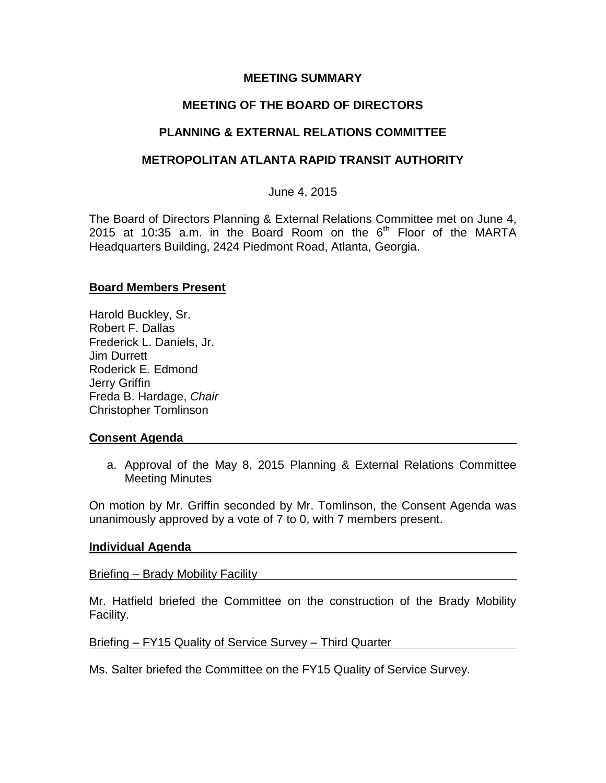## **MEETING SUMMARY**

# **MEETING OF THE BOARD OF DIRECTORS**

# **PLANNING & EXTERNAL RELATIONS COMMITTEE**

## **METROPOLITAN ATLANTA RAPID TRANSIT AUTHORITY**

June 4, 2015

The Board of Directors Planning & External Relations Committee met on June 4, 2015 at 10:35 a.m. in the Board Room on the  $6<sup>th</sup>$  Floor of the MARTA Headquarters Building, 2424 Piedmont Road, Atlanta, Georgia.

## **Board Members Present**

Harold Buckley, Sr. Robert F. Dallas Frederick L. Daniels, Jr. Jim Durrett Roderick E. Edmond Jerry Griffin Freda B. Hardage, *Chair* Christopher Tomlinson

## **Consent Agenda**

a. Approval of the May 8, 2015 Planning & External Relations Committee Meeting Minutes

On motion by Mr. Griffin seconded by Mr. Tomlinson, the Consent Agenda was unanimously approved by a vote of 7 to 0, with 7 members present.

## **Individual Agenda**

Briefing – Brady Mobility Facility

Mr. Hatfield briefed the Committee on the construction of the Brady Mobility Facility.

## Briefing – FY15 Quality of Service Survey – Third Quarter

Ms. Salter briefed the Committee on the FY15 Quality of Service Survey.